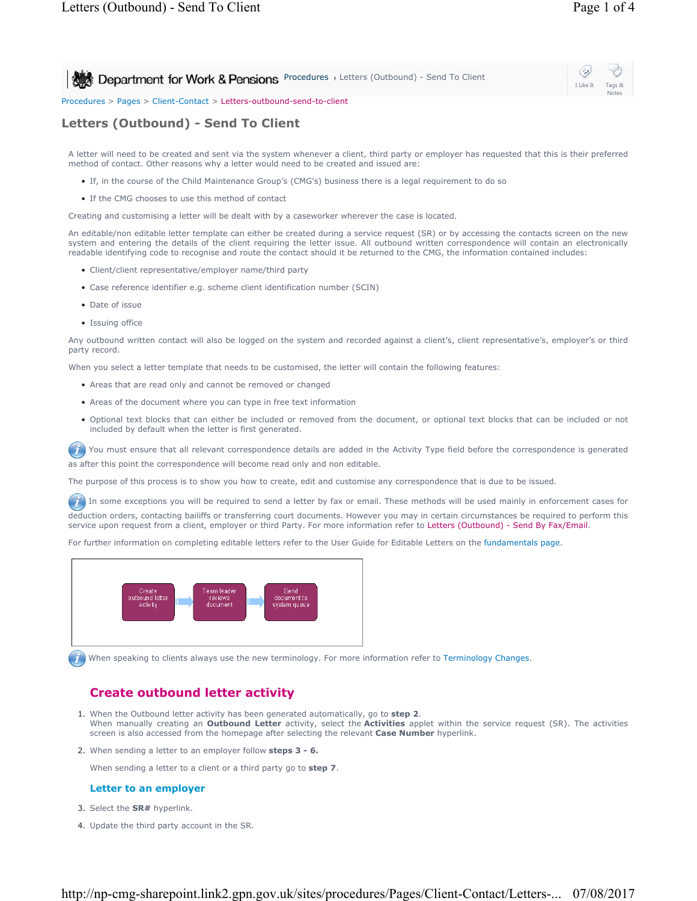I Like It Tags & Notes

**Procedures Letters (Outbound) - Send To Client** 

Procedures > Pages > Client-Contact > Letters-outbound-send-to-client

# **Letters (Outbound) - Send To Client**

A letter will need to be created and sent via the system whenever a client, third party or employer has requested that this is their preferred method of contact. Other reasons why a letter would need to be created and issued are:

- If, in the course of the Child Maintenance Group's (CMG's) business there is a legal requirement to do so
- If the CMG chooses to use this method of contact

Creating and customising a letter will be dealt with by a caseworker wherever the case is located.

An editable/non editable letter template can either be created during a service request (SR) or by accessing the contacts screen on the new system and entering the details of the client requiring the letter issue. All outbound written correspondence will contain an electronically readable identifying code to recognise and route the contact should it be returned to the CMG, the information contained includes:

- Client/client representative/employer name/third party
- Case reference identifier e.g. scheme client identification number (SCIN)
- Date of issue
- Issuing office

Any outbound written contact will also be logged on the system and recorded against a client's, client representative's, employer's or third party record.

When you select a letter template that needs to be customised, the letter will contain the following features:

- Areas that are read only and cannot be removed or changed
- Areas of the document where you can type in free text information
- Optional text blocks that can either be included or removed from the document, or optional text blocks that can be included or not included by default when the letter is first generated.

 $\left( 7\right)$ You must ensure that all relevant correspondence details are added in the Activity Type field before the correspondence is generated as after this point the correspondence will become read only and non editable.

The purpose of this process is to show you how to create, edit and customise any correspondence that is due to be issued.

In some exceptions you will be required to send a letter by fax or email. These methods will be used mainly in enforcement cases for deduction orders, contacting bailiffs or transferring court documents. However you may in certain circumstances be required to perform this service upon request from a client, employer or third Party. For more information refer to Letters (Outbound) - Send By Fax/Email.

For further information on completing editable letters refer to the User Guide for Editable Letters on the fundamentals page.



When speaking to clients always use the new terminology. For more information refer to Terminology Changes.

## **Create outbound letter activity**

- 1. When the Outbound letter activity has been generated automatically, go to step 2. When manually creating an **Outbound Letter** activity, select the **Activities** applet within the service request (SR). The activities screen is also accessed from the homepage after selecting the relevant **Case Number** hyperlink.
- 2. When sending a letter to an employer follow **steps 3 6.**

When sending a letter to a client or a third party go to **step 7**.

#### **Letter to an employer**

- 3. Select the **SR#** hyperlink.
- 4. Update the third party account in the SR.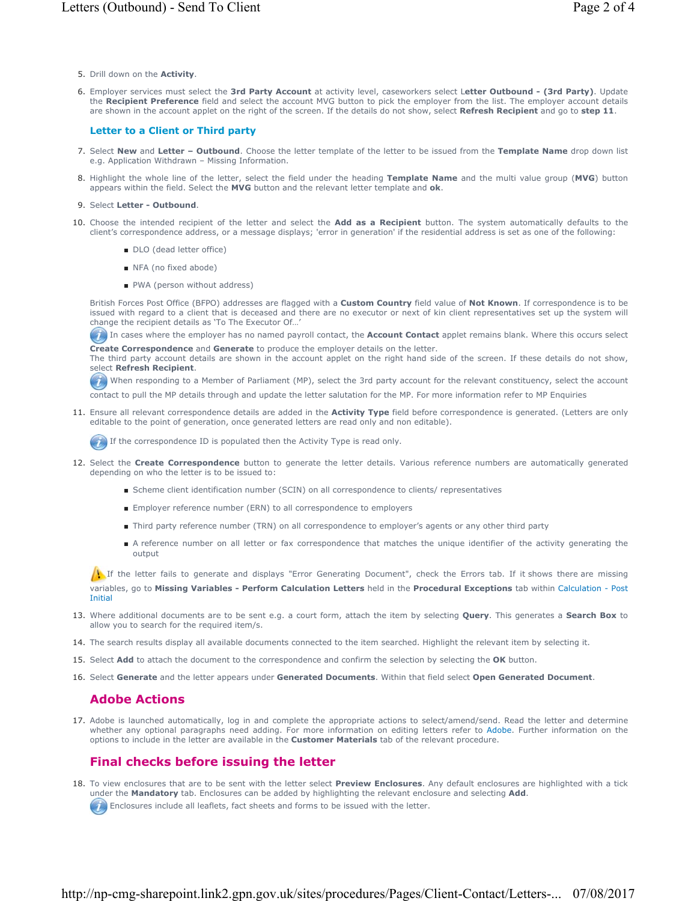- 5. Drill down on the **Activity**.
- Employer services must select the **3rd Party Account** at activity level, caseworkers select L**etter Outbound (3rd Party)**. Update 6. the **Recipient Preference** field and select the account MVG button to pick the employer from the list. The employer account details are shown in the account applet on the right of the screen. If the details do not show, select **Refresh Recipient** and go to **step 11**.

### **Letter to a Client or Third party**

- 7. Select New and Letter Outbound. Choose the letter template of the letter to be issued from the Template Name drop down list e.g. Application Withdrawn – Missing Information.
- 8. Highlight the whole line of the letter, select the field under the heading Template Name and the multi value group (MVG) button appears within the field. Select the **MVG** button and the relevant letter template and **ok**.

### 9. Select **Letter - Outbound**.

- 10. Choose the intended recipient of the letter and select the **Add as a Recipient** button. The system automatically defaults to the client's correspondence address, or a message displays; 'error in generation' if the residential address is set as one of the following:
	- DLO (dead letter office)
	- NFA (no fixed abode)
	- PWA (person without address)

British Forces Post Office (BFPO) addresses are flagged with a **Custom Country** field value of **Not Known**. If correspondence is to be issued with regard to a client that is deceased and there are no executor or next of kin client representatives set up the system will change the recipient details as 'To The Executor Of…'

**In** In cases where the employer has no named payroll contact, the **Account Contact** applet remains blank. Where this occurs select **Create Correspondence** and **Generate** to produce the employer details on the letter.

The third party account details are shown in the account applet on the right hand side of the screen. If these details do not show, select **Refresh Recipient**.

When responding to a Member of Parliament (MP), select the 3rd party account for the relevant constituency, select the account contact to pull the MP details through and update the letter salutation for the MP. For more information refer to MP Enquiries

11. Ensure all relevant correspondence details are added in the **Activity Type** field before correspondence is generated. (Letters are only editable to the point of generation, once generated letters are read only and non editable).

If the correspondence ID is populated then the Activity Type is read only.

- 12. Select the **Create Correspondence** button to generate the letter details. Various reference numbers are automatically generated depending on who the letter is to be issued to:
	- Scheme client identification number (SCIN) on all correspondence to clients/ representatives
	- Employer reference number (ERN) to all correspondence to employers
	- Third party reference number (TRN) on all correspondence to employer's agents or any other third party
	- A reference number on all letter or fax correspondence that matches the unique identifier of the activity generating the output

If the letter fails to generate and displays "Error Generating Document", check the Errors tab. If it shows there are missing variables, go to **Missing Variables - Perform Calculation Letters** held in the **Procedural Exceptions** tab within Calculation - Post Initial

- Where additional documents are to be sent e.g. a court form, attach the item by selecting **Query**. This generates a **Search Box** to 13. allow you to search for the required item/s.
- 14. The search results display all available documents connected to the item searched. Highlight the relevant item by selecting it.
- 15. Select **Add** to attach the document to the correspondence and confirm the selection by selecting the **OK** button.
- 16. Select **Generate** and the letter appears under **Generated Documents**. Within that field select **Open Generated Document**.

### **Adobe Actions**

17. Adobe is launched automatically, log in and complete the appropriate actions to select/amend/send. Read the letter and determine whether any optional paragraphs need adding. For more information on editing letters refer to Adobe. Further information on the options to include in the letter are available in the **Customer Materials** tab of the relevant procedure.

## **Final checks before issuing the letter**

18. To view enclosures that are to be sent with the letter select Preview Enclosures. Any default enclosures are highlighted with a tick under the **Mandatory** tab. Enclosures can be added by highlighting the relevant enclosure and selecting **Add**.

Enclosures include all leaflets, fact sheets and forms to be issued with the letter.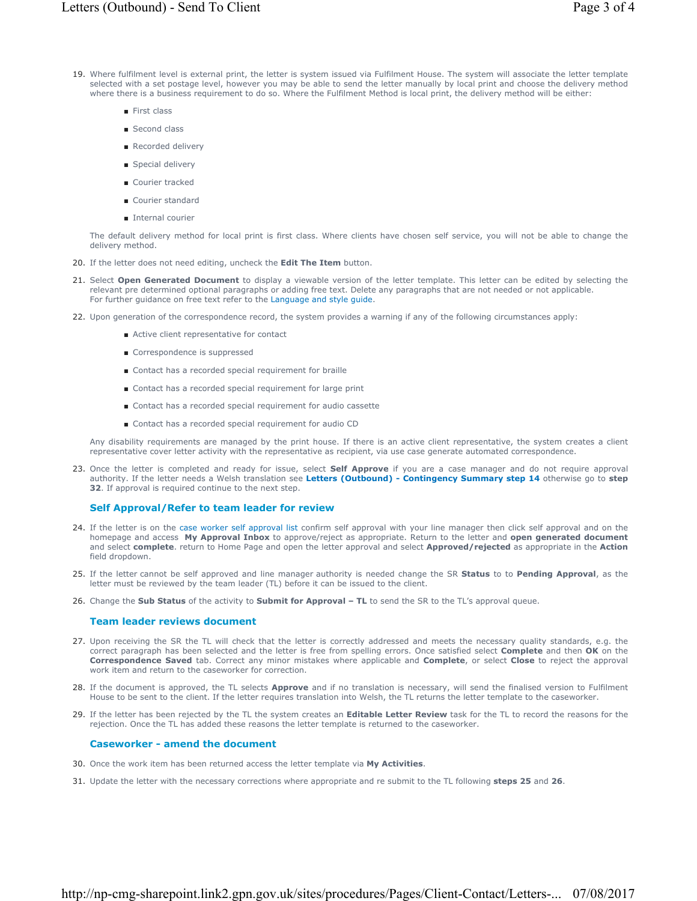- 19. Where fulfilment level is external print, the letter is system issued via Fulfilment House. The system will associate the letter template selected with a set postage level, however you may be able to send the letter manually by local print and choose the delivery method where there is a business requirement to do so. Where the Fulfilment Method is local print, the delivery method will be either:
	- First class
	- Second class
	- Recorded delivery
	- Special delivery
	- Courier tracked
	- Courier standard
	- Internal courier

The default delivery method for local print is first class. Where clients have chosen self service, you will not be able to change the delivery method.

- 20. If the letter does not need editing, uncheck the **Edit The Item** button.
- 21. Select **Open Generated Document** to display a viewable version of the letter template. This letter can be edited by selecting the relevant pre determined optional paragraphs or adding free text. Delete any paragraphs that are not needed or not applicable. For further guidance on free text refer to the Language and style guide.
- 22. Upon generation of the correspondence record, the system provides a warning if any of the following circumstances apply:
	- Active client representative for contact
		- Correspondence is suppressed
		- Contact has a recorded special requirement for braille
		- Contact has a recorded special requirement for large print
		- Contact has a recorded special requirement for audio cassette
		- Contact has a recorded special requirement for audio CD

Any disability requirements are managed by the print house. If there is an active client representative, the system creates a client representative cover letter activity with the representative as recipient, via use case generate automated correspondence.

23. Once the letter is completed and ready for issue, select **Self Approve** if you are a case manager and do not require approval authority. If the letter needs a Welsh translation see **Letters (Outbound) - Contingency Summary step 14** otherwise go to **step 32**. If approval is required continue to the next step.

#### **Self Approval/Refer to team leader for review**

- 24. If the letter is on the case worker self approval list confirm self approval with your line manager then click self approval and on the homepage and access **My Approval Inbox** to approve/reject as appropriate. Return to the letter and **open generated document**  and select **complete**. return to Home Page and open the letter approval and select **Approved/rejected** as appropriate in the **Action** field dropdown.
- If the letter cannot be self approved and line manager authority is needed change the SR **Status** to to **Pending Approval**, as the 25. letter must be reviewed by the team leader (TL) before it can be issued to the client.
- 26. Change the **Sub Status** of the activity to **Submit for Approval TL** to send the SR to the TL's approval queue.

#### **Team leader reviews document**

- 27. Upon receiving the SR the TL will check that the letter is correctly addressed and meets the necessary quality standards, e.g. the correct paragraph has been selected and the letter is free from spelling errors. Once satisfied select **Complete** and then **OK** on the **Correspondence Saved** tab. Correct any minor mistakes where applicable and **Complete**, or select **Close** to reject the approval work item and return to the caseworker for correction.
- 28. If the document is approved, the TL selects **Approve** and if no translation is necessary, will send the finalised version to Fulfilment House to be sent to the client. If the letter requires translation into Welsh, the TL returns the letter template to the caseworker.
- 29. If the letter has been rejected by the TL the system creates an **Editable Letter Review** task for the TL to record the reasons for the rejection. Once the TL has added these reasons the letter template is returned to the caseworker.

#### **Caseworker - amend the document**

- 30. Once the work item has been returned access the letter template via **My Activities**.
- 31. Update the letter with the necessary corrections where appropriate and re submit to the TL following **steps 25** and **26**.